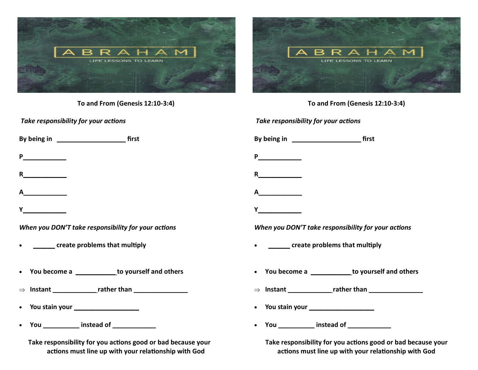

| To and From (Genesis 12:10-3:4)                                                                                                                                                                                                     | To and From (Genesis 12:10-3:4)                                                                                                                                                                                                     |
|-------------------------------------------------------------------------------------------------------------------------------------------------------------------------------------------------------------------------------------|-------------------------------------------------------------------------------------------------------------------------------------------------------------------------------------------------------------------------------------|
| Take responsibility for your actions                                                                                                                                                                                                | Take responsibility for your actions                                                                                                                                                                                                |
|                                                                                                                                                                                                                                     |                                                                                                                                                                                                                                     |
| P                                                                                                                                                                                                                                   | <b>P</b> and the set of the set of the set of the set of the set of the set of the set of the set of the set of the set of the set of the set of the set of the set of the set of the set of the set of the set of the set of the s |
| R $\qquad$                                                                                                                                                                                                                          | R                                                                                                                                                                                                                                   |
| A                                                                                                                                                                                                                                   | A                                                                                                                                                                                                                                   |
| <b>Y</b> and the same state of the state of the state of the state of the state of the state of the state of the state of the state of the state of the state of the state of the state of the state of the state of the state of t |                                                                                                                                                                                                                                     |
| When you DON'T take responsibility for your actions                                                                                                                                                                                 | When you DON'T take responsibility for your actions                                                                                                                                                                                 |
| ________ create problems that multiply<br>$\bullet$                                                                                                                                                                                 | • ________ create problems that multiply                                                                                                                                                                                            |
| • You become a _____________ to yourself and others                                                                                                                                                                                 | • You become a _____________ to yourself and others                                                                                                                                                                                 |
|                                                                                                                                                                                                                                     |                                                                                                                                                                                                                                     |
| • You stain your <u>_________________________</u>                                                                                                                                                                                   |                                                                                                                                                                                                                                     |
| • You __________ instead of ____________                                                                                                                                                                                            | You ___________ instead of _____________<br>$\bullet$                                                                                                                                                                               |
| Take responsibility for you actions good or bad because your<br>actions must line up with your relationship with God                                                                                                                | Take responsibility for you actions good or bad because your<br>actions must line up with your relationship with God                                                                                                                |

**actions must line up with your relationship with God**

R

LIFE LESSONS TO LEARN